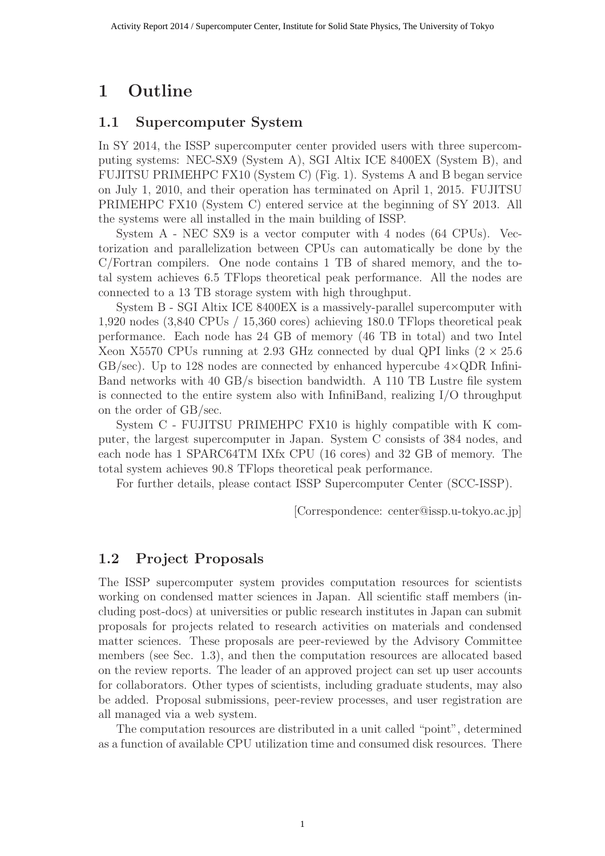## 1 Outline

#### 1.1 Supercomputer System

In SY 2014, the ISSP supercomputer center provided users with three supercomputing systems: NEC-SX9 (System A), SGI Altix ICE 8400EX (System B), and FUJITSU PRIMEHPC FX10 (System C) (Fig. 1). Systems A and B began service on July 1, 2010, and their operation has terminated on April 1, 2015. FUJITSU PRIMEHPC FX10 (System C) entered service at the beginning of SY 2013. All the systems were all installed in the main building of ISSP.

System A - NEC SX9 is a vector computer with 4 nodes (64 CPUs). Vectorization and parallelization between CPUs can automatically be done by the C/Fortran compilers. One node contains 1 TB of shared memory, and the total system achieves 6.5 TFlops theoretical peak performance. All the nodes are connected to a 13 TB storage system with high throughput.

System B - SGI Altix ICE 8400EX is a massively-parallel supercomputer with 1,920 nodes (3,840 CPUs / 15,360 cores) achieving 180.0 TFlops theoretical peak performance. Each node has 24 GB of memory (46 TB in total) and two Intel Xeon X5570 CPUs running at 2.93 GHz connected by dual QPI links  $(2 \times 25.6$  $GB/sec$ ). Up to 128 nodes are connected by enhanced hypercube  $4 \times QDR$  Infini-Band networks with 40 GB/s bisection bandwidth. A 110 TB Lustre file system is connected to the entire system also with InfiniBand, realizing I/O throughput on the order of GB/sec.

System C - FUJITSU PRIMEHPC FX10 is highly compatible with K computer, the largest supercomputer in Japan. System C consists of 384 nodes, and each node has 1 SPARC64TM IXfx CPU (16 cores) and 32 GB of memory. The total system achieves 90.8 TFlops theoretical peak performance.

For further details, please contact ISSP Supercomputer Center (SCC-ISSP).

[Correspondence: center@issp.u-tokyo.ac.jp]

### 1.2 Project Proposals

The ISSP supercomputer system provides computation resources for scientists working on condensed matter sciences in Japan. All scientific staff members (including post-docs) at universities or public research institutes in Japan can submit proposals for projects related to research activities on materials and condensed matter sciences. These proposals are peer-reviewed by the Advisory Committee members (see Sec. 1.3), and then the computation resources are allocated based on the review reports. The leader of an approved project can set up user accounts for collaborators. Other types of scientists, including graduate students, may also be added. Proposal submissions, peer-review processes, and user registration are all managed via a web system.

The computation resources are distributed in a unit called "point", determined as a function of available CPU utilization time and consumed disk resources. There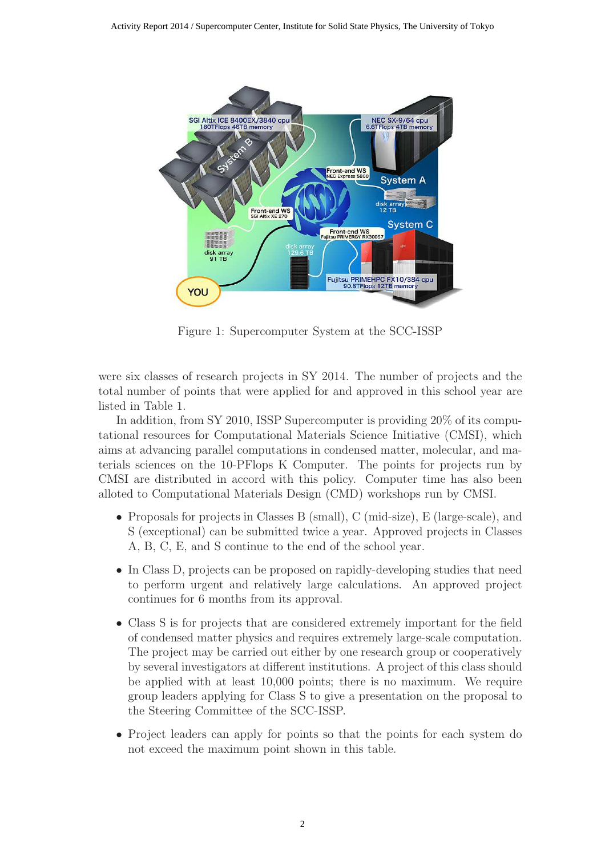

Figure 1: Supercomputer System at the SCC-ISSP

were six classes of research projects in SY 2014. The number of projects and the total number of points that were applied for and approved in this school year are listed in Table 1.

In addition, from SY 2010, ISSP Supercomputer is providing 20% of its computational resources for Computational Materials Science Initiative (CMSI), which aims at advancing parallel computations in condensed matter, molecular, and materials sciences on the 10-PFlops K Computer. The points for projects run by CMSI are distributed in accord with this policy. Computer time has also been alloted to Computational Materials Design (CMD) workshops run by CMSI.

- Proposals for projects in Classes B (small), C (mid-size), E (large-scale), and S (exceptional) can be submitted twice a year. Approved projects in Classes A, B, C, E, and S continue to the end of the school year.
- In Class D, projects can be proposed on rapidly-developing studies that need to perform urgent and relatively large calculations. An approved project continues for 6 months from its approval.
- Class S is for projects that are considered extremely important for the field of condensed matter physics and requires extremely large-scale computation. The project may be carried out either by one research group or cooperatively by several investigators at different institutions. A project of this class should be applied with at least 10,000 points; there is no maximum. We require group leaders applying for Class S to give a presentation on the proposal to the Steering Committee of the SCC-ISSP.
- Project leaders can apply for points so that the points for each system do not exceed the maximum point shown in this table.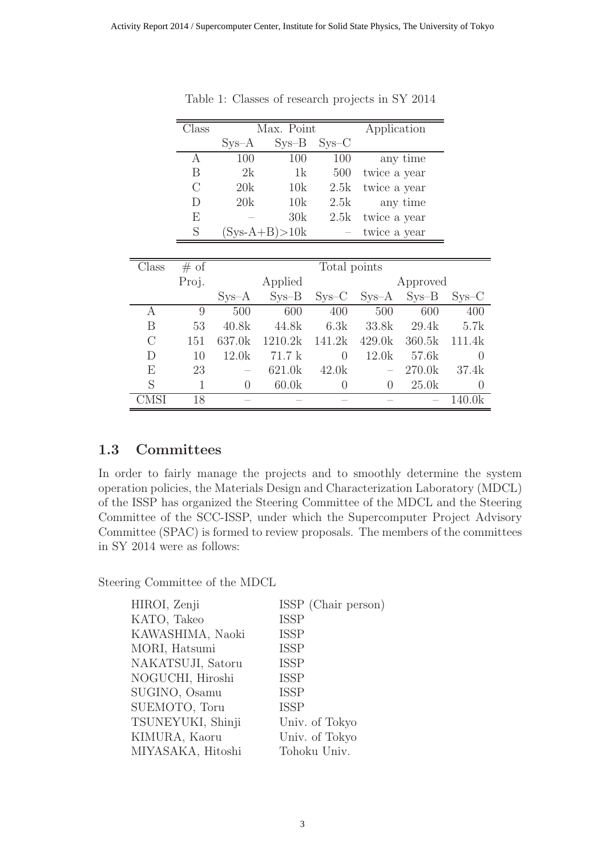|         |         | $Sys-A$        | $Sys-B$           | $Sys-C$        |                |          |                  |
|---------|---------|----------------|-------------------|----------------|----------------|----------|------------------|
|         | А       | 100            | 100               | 100            |                | any time |                  |
|         | Β       | 2k             | 1k                | 500            | twice a year   |          |                  |
|         | $\rm C$ | 20k            | 10k               | 2.5k           | twice a year   |          |                  |
|         | D       | 20k            | 10k               | 2.5k           |                | any time |                  |
|         | E       |                | 30k               | 2.5k           | twice a year   |          |                  |
|         | S       |                | $(Sys-A+B) > 10k$ |                | twice a year   |          |                  |
|         |         |                |                   |                |                |          |                  |
| Class   | # of    |                |                   | Total points   |                |          |                  |
|         | Proj.   |                | Applied           |                |                | Approved |                  |
|         |         | $Sys-A$        | $Sys-B$           | $SYS-C$        | $Sys-A$        | $Sys-B$  | $SYS-C$          |
| А       | 9       | 500            | 600               | 400            | 500            | 600      | 400              |
| B       | 53      | 40.8k          | 44.8k             | 6.3k           | 33.8k          | 29.4k    | 5.7k             |
| $\rm C$ | 151     | 637.0k         | 1210.2k           | 141.2k         | 429.0k         | 360.5k   | 111.4k           |
| D       | 10      | 12.0k          | 71.7k             | $\overline{0}$ | 12.0k          | 57.6k    | $\theta$         |
| E       | 23      |                | 621.0k            | 42.0k          |                | 270.0k   | 37.4k            |
| S       | 1       | $\overline{0}$ | 60.0k             | $\overline{0}$ | $\overline{0}$ | 25.0k    | $\boldsymbol{0}$ |
| CMSI    | 18      |                |                   |                |                |          | 140.0k           |

Table 1: Classes of research projects in SY 2014

Class Max. Point Application

#### 1.3 Committees

In order to fairly manage the projects and to smoothly determine the system operation policies, the Materials Design and Characterization Laboratory (MDCL) of the ISSP has organized the Steering Committee of the MDCL and the Steering Committee of the SCC-ISSP, under which the Supercomputer Project Advisory Committee (SPAC) is formed to review proposals. The members of the committees in SY 2014 were as follows:

Steering Committee of the MDCL

| ISSP (Chair person) |
|---------------------|
| <b>ISSP</b>         |
| <b>ISSP</b>         |
| <b>ISSP</b>         |
| <b>ISSP</b>         |
| <b>ISSP</b>         |
| <b>ISSP</b>         |
| <b>ISSP</b>         |
| Univ. of Tokyo      |
| Univ. of Tokyo      |
| Tohoku Univ.        |
|                     |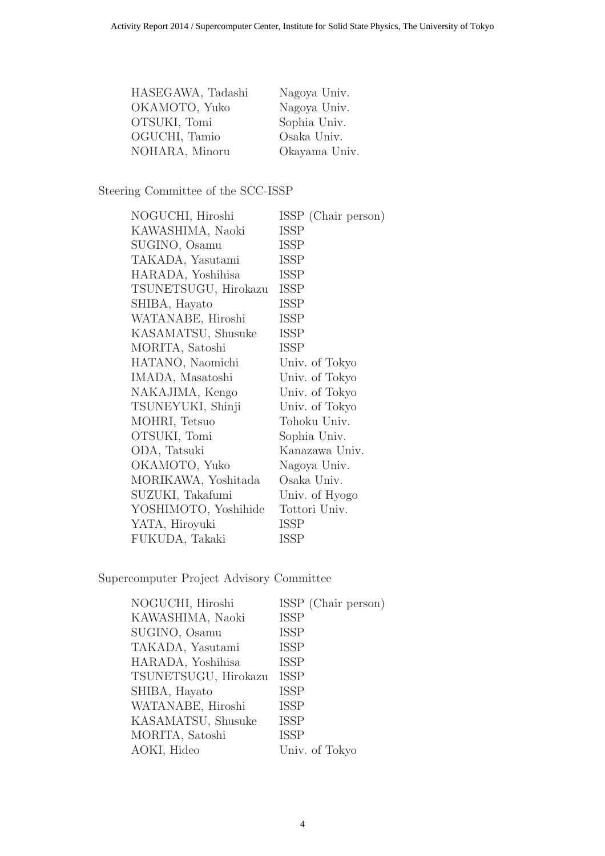| HASEGAWA, Tadashi | Nagoya Univ.  |
|-------------------|---------------|
| OKAMOTO, Yuko     | Nagoya Univ.  |
| OTSUKI, Tomi      | Sophia Univ.  |
| OGUCHI, Tamio     | Osaka Univ.   |
| NOHARA, Minoru    | Okayama Univ. |

### Steering Committee of the SCC-ISSP

| ISSP (Chair person) |
|---------------------|
| <b>ISSP</b>         |
| <b>ISSP</b>         |
| <b>ISSP</b>         |
| ISSP                |
| <b>ISSP</b>         |
| ISSP                |
| ISSP                |
| <b>ISSP</b>         |
| ISSP                |
| Univ. of Tokyo      |
| Univ. of Tokyo      |
| Univ. of Tokyo      |
| Univ. of Tokyo      |
| Tohoku Univ.        |
| Sophia Univ.        |
| Kanazawa Univ.      |
| Nagoya Univ.        |
| Osaka Univ.         |
| Univ. of Hyogo      |
| Tottori Univ.       |
| ISSP                |
| ISSP                |
|                     |

Supercomputer Project Advisory Committee

| NOGUCHI, Hiroshi     | ISSP (Chair person) |
|----------------------|---------------------|
| KAWASHIMA, Naoki     | <b>ISSP</b>         |
| SUGINO, Osamu        | <b>ISSP</b>         |
| TAKADA, Yasutami     | <b>ISSP</b>         |
| HARADA, Yoshihisa    | <b>ISSP</b>         |
| TSUNETSUGU, Hirokazu | <b>ISSP</b>         |
| SHIBA, Hayato        | <b>ISSP</b>         |
| WATANABE, Hiroshi    | <b>ISSP</b>         |
| KASAMATSU, Shusuke   | <b>ISSP</b>         |
| MORITA, Satoshi      | <b>ISSP</b>         |
| AOKI, Hideo          | Univ. of Tokyo      |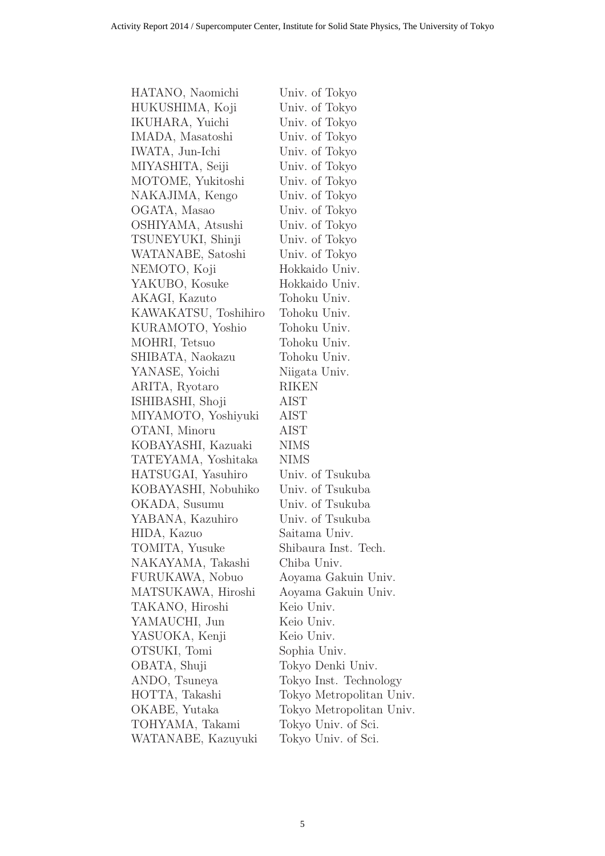| HATANO, Naomichi     | Univ. of Tokyo           |
|----------------------|--------------------------|
| HUKUSHIMA, Koji      | Univ. of Tokyo           |
| IKUHARA, Yuichi      | Univ. of Tokyo           |
| IMADA, Masatoshi     | Univ. of Tokyo           |
| IWATA, Jun-Ichi      | Univ. of Tokyo           |
| MIYASHITA, Seiji     | Univ. of Tokyo           |
| MOTOME, Yukitoshi    | Univ. of Tokyo           |
| NAKAJIMA, Kengo      | Univ. of Tokyo           |
| OGATA, Masao         | Univ. of Tokyo           |
| OSHIYAMA, Atsushi    | Univ. of Tokyo           |
| TSUNEYUKI, Shinji    | Univ. of Tokyo           |
| WATANABE, Satoshi    | Univ. of Tokyo           |
| NEMOTO, Koji         | Hokkaido Univ.           |
| YAKUBO, Kosuke       | Hokkaido Univ.           |
| AKAGI, Kazuto        | Tohoku Univ.             |
| KAWAKATSU, Toshihiro | Tohoku Univ.             |
| KURAMOTO, Yoshio     | Tohoku Univ.             |
| MOHRI, Tetsuo        | Tohoku Univ.             |
| SHIBATA, Naokazu     | Tohoku Univ.             |
| YANASE, Yoichi       | Niigata Univ.            |
| ARITA, Ryotaro       | <b>RIKEN</b>             |
| ISHIBASHI, Shoji     | AIST                     |
| MIYAMOTO, Yoshiyuki  | AIST                     |
| OTANI, Minoru        | AIST                     |
| KOBAYASHI, Kazuaki   | NIMS                     |
| TATEYAMA, Yoshitaka  | <b>NIMS</b>              |
| HATSUGAI, Yasuhiro   | Univ. of Tsukuba         |
| KOBAYASHI, Nobuhiko  | Univ. of Tsukuba         |
| OKADA, Susumu        | Univ. of Tsukuba         |
| YABANA, Kazuhiro     | Univ. of Tsukuba         |
| HIDA, Kazuo          | Saitama Univ.            |
| TOMITA, Yusuke       | Shibaura Inst. Tech.     |
| NAKAYAMA, Takashi    | Chiba Univ.              |
| FURUKAWA, Nobuo      | Aoyama Gakuin Univ.      |
| MATSUKAWA, Hiroshi   | Aoyama Gakuin Univ.      |
| TAKANO, Hiroshi      | Keio Univ.               |
| YAMAUCHI, Jun        | Keio Univ.               |
| YASUOKA, Kenji       | Keio Univ.               |
| OTSUKI, Tomi         | Sophia Univ.             |
| OBATA, Shuji         | Tokyo Denki Univ.        |
| ANDO, Tsuneya        | Tokyo Inst. Technology   |
| HOTTA, Takashi       | Tokyo Metropolitan Univ. |
| OKABE, Yutaka        | Tokyo Metropolitan Univ. |
| TOHYAMA, Takami      | Tokyo Univ. of Sci.      |
| WATANABE, Kazuyuki   | Tokyo Univ. of Sci.      |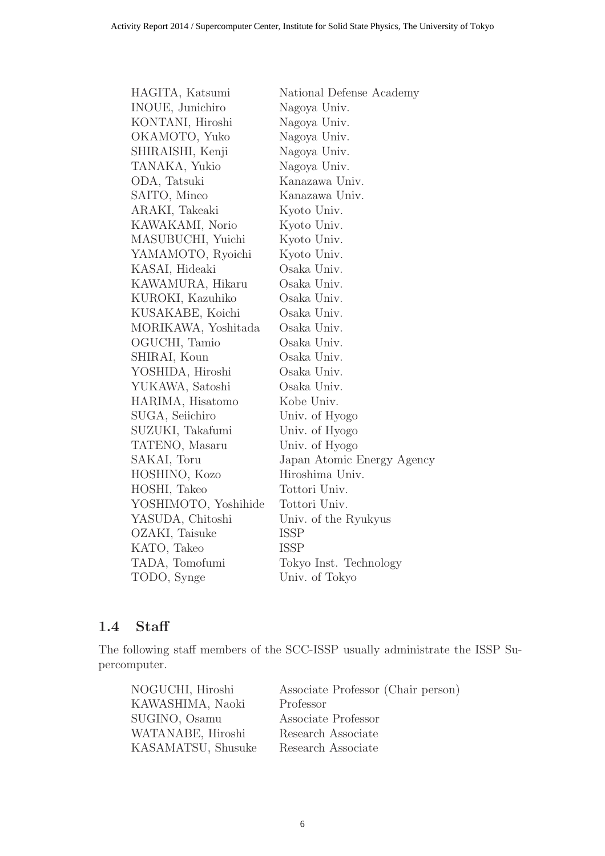| HAGITA, Katsumi         | National Defense Academy   |
|-------------------------|----------------------------|
| <b>INOUE, Junichiro</b> | Nagoya Univ.               |
| KONTANI, Hiroshi        | Nagoya Univ.               |
| OKAMOTO, Yuko           | Nagoya Univ.               |
| SHIRAISHI, Kenji        | Nagoya Univ.               |
| TANAKA, Yukio           | Nagoya Univ.               |
| ODA, Tatsuki            | Kanazawa Univ.             |
| SAITO, Mineo            | Kanazawa Univ.             |
| ARAKI, Takeaki          | Kyoto Univ.                |
| KAWAKAMI, Norio         | Kyoto Univ.                |
| MASUBUCHI, Yuichi       | Kyoto Univ.                |
| YAMAMOTO, Ryoichi       | Kyoto Univ.                |
| KASAI, Hideaki          | Osaka Univ.                |
| KAWAMURA, Hikaru        | Osaka Univ.                |
| KUROKI, Kazuhiko        | Osaka Univ.                |
| KUSAKABE, Koichi        | Osaka Univ.                |
| MORIKAWA, Yoshitada     | Osaka Univ.                |
| OGUCHI, Tamio           | Osaka Univ.                |
| SHIRAI, Koun            | Osaka Univ.                |
| YOSHIDA, Hiroshi        | Osaka Univ.                |
| YUKAWA, Satoshi         | Osaka Univ.                |
| HARIMA, Hisatomo        | Kobe Univ.                 |
| SUGA, Seiichiro         | Univ. of Hyogo             |
| SUZUKI, Takafumi        | Univ. of Hyogo             |
| TATENO, Masaru          | Univ. of Hyogo             |
| SAKAI, Toru             | Japan Atomic Energy Agency |
| HOSHINO, Kozo           | Hiroshima Univ.            |
| HOSHI, Takeo            | Tottori Univ.              |
| YOSHIMOTO, Yoshihide    | Tottori Univ.              |
| YASUDA, Chitoshi        | Univ. of the Ryukyus       |
| OZAKI, Taisuke          | <b>ISSP</b>                |
| KATO, Takeo             | <b>ISSP</b>                |
| TADA, Tomofumi          | Tokyo Inst. Technology     |
| TODO, Synge             | Univ. of Tokyo             |
|                         |                            |

### 1.4 Staff

The following staff members of the SCC-ISSP usually administrate the ISSP Supercomputer.

| NOGUCHI, Hiroshi   | Associate Professor (Chair person) |
|--------------------|------------------------------------|
| KAWASHIMA, Naoki   | Professor                          |
| SUGINO, Osamu      | Associate Professor                |
| WATANABE, Hiroshi  | Research Associate                 |
| KASAMATSU, Shusuke | Research Associate                 |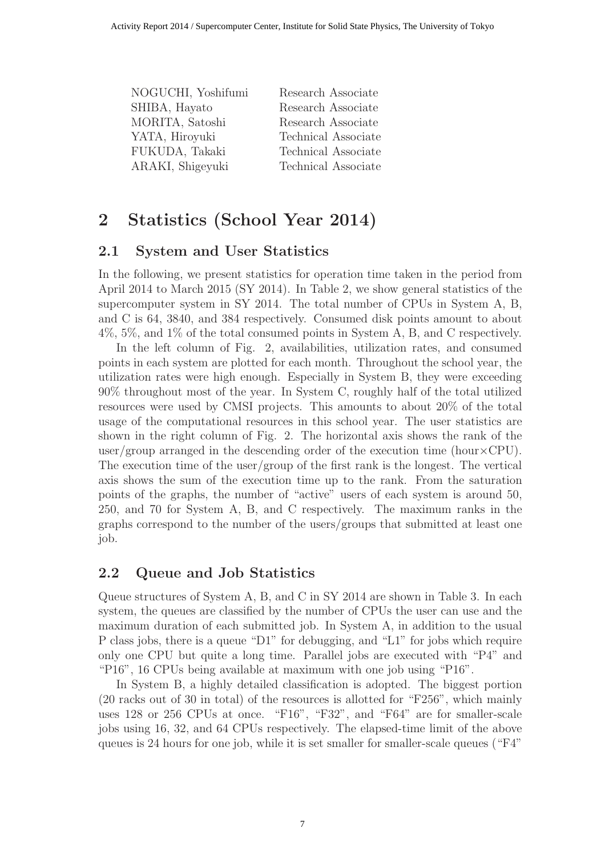| NOGUCHI, Yoshifumi | Research Associate  |
|--------------------|---------------------|
| SHIBA, Hayato      | Research Associate  |
| MORITA, Satoshi    | Research Associate  |
| YATA, Hiroyuki     | Technical Associate |
| FUKUDA, Takaki     | Technical Associate |
| ARAKI, Shigeyuki   | Technical Associate |
|                    |                     |

# 2 Statistics (School Year 2014)

### 2.1 System and User Statistics

In the following, we present statistics for operation time taken in the period from April 2014 to March 2015 (SY 2014). In Table 2, we show general statistics of the supercomputer system in SY 2014. The total number of CPUs in System A, B, and C is 64, 3840, and 384 respectively. Consumed disk points amount to about 4%, 5%, and 1% of the total consumed points in System A, B, and C respectively.

In the left column of Fig. 2, availabilities, utilization rates, and consumed points in each system are plotted for each month. Throughout the school year, the utilization rates were high enough. Especially in System B, they were exceeding 90% throughout most of the year. In System C, roughly half of the total utilized resources were used by CMSI projects. This amounts to about 20% of the total usage of the computational resources in this school year. The user statistics are shown in the right column of Fig. 2. The horizontal axis shows the rank of the user/group arranged in the descending order of the execution time (hour $\times$ CPU). The execution time of the user/group of the first rank is the longest. The vertical axis shows the sum of the execution time up to the rank. From the saturation points of the graphs, the number of "active" users of each system is around 50, 250, and 70 for System A, B, and C respectively. The maximum ranks in the graphs correspond to the number of the users/groups that submitted at least one job.

#### 2.2 Queue and Job Statistics

Queue structures of System A, B, and C in SY 2014 are shown in Table 3. In each system, the queues are classified by the number of CPUs the user can use and the maximum duration of each submitted job. In System A, in addition to the usual P class jobs, there is a queue "D1" for debugging, and "L1" for jobs which require only one CPU but quite a long time. Parallel jobs are executed with "P4" and "P16", 16 CPUs being available at maximum with one job using "P16".

In System B, a highly detailed classification is adopted. The biggest portion (20 racks out of 30 in total) of the resources is allotted for "F256", which mainly uses 128 or 256 CPUs at once. "F16", "F32", and "F64" are for smaller-scale jobs using 16, 32, and 64 CPUs respectively. The elapsed-time limit of the above queues is 24 hours for one job, while it is set smaller for smaller-scale queues ("F4"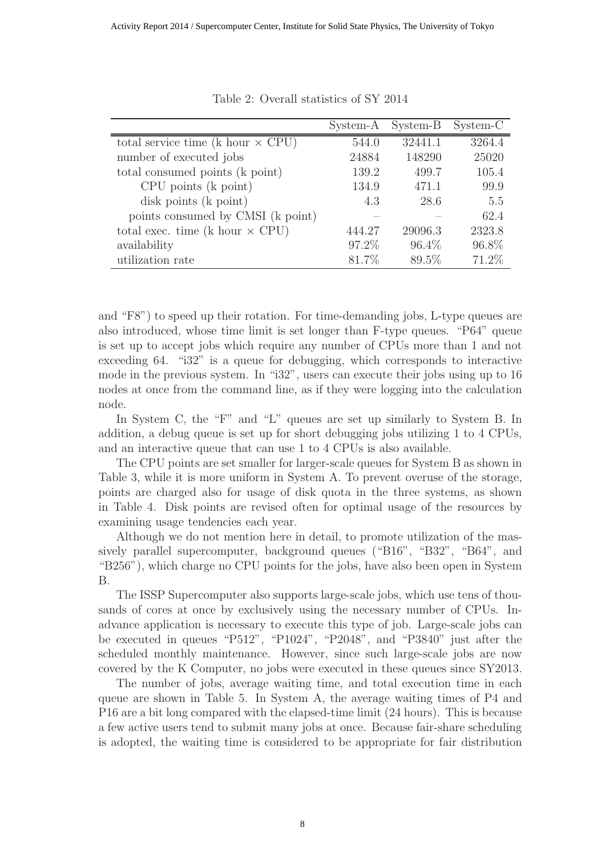|                                          | System-A | System-B | System-C |
|------------------------------------------|----------|----------|----------|
| total service time (k hour $\times$ CPU) | 544.0    | 32441.1  | 3264.4   |
| number of executed jobs                  | 24884    | 148290   | 25020    |
| total consumed points (k point)          | 139.2    | 499.7    | 105.4    |
| CPU points (k point)                     | 134.9    | 471.1    | 99.9     |
| disk points (k point)                    | 4.3      | 28.6     | 5.5      |
| points consumed by CMSI (k point)        |          |          | 62.4     |
| total exec. time (k hour $\times$ CPU)   | 444 27   | 29096.3  | 2323.8   |
| availability                             | 97.2\%   | $96.4\%$ | 96.8%    |
| utilization rate                         | 81.7%    | 89.5%    | 71.2%    |

Table 2: Overall statistics of SY 2014

and "F8") to speed up their rotation. For time-demanding jobs, L-type queues are also introduced, whose time limit is set longer than F-type queues. "P64" queue is set up to accept jobs which require any number of CPUs more than 1 and not exceeding 64. "i32" is a queue for debugging, which corresponds to interactive mode in the previous system. In "i32", users can execute their jobs using up to 16 nodes at once from the command line, as if they were logging into the calculation node.

In System C, the "F" and "L" queues are set up similarly to System B. In addition, a debug queue is set up for short debugging jobs utilizing 1 to 4 CPUs, and an interactive queue that can use 1 to 4 CPUs is also available.

The CPU points are set smaller for larger-scale queues for System B as shown in Table 3, while it is more uniform in System A. To prevent overuse of the storage, points are charged also for usage of disk quota in the three systems, as shown in Table 4. Disk points are revised often for optimal usage of the resources by examining usage tendencies each year.

Although we do not mention here in detail, to promote utilization of the massively parallel supercomputer, background queues ("B16", "B32", "B64", and "B256"), which charge no CPU points for the jobs, have also been open in System B.

The ISSP Supercomputer also supports large-scale jobs, which use tens of thousands of cores at once by exclusively using the necessary number of CPUs. Inadvance application is necessary to execute this type of job. Large-scale jobs can be executed in queues "P512", "P1024", "P2048", and "P3840" just after the scheduled monthly maintenance. However, since such large-scale jobs are now covered by the K Computer, no jobs were executed in these queues since SY2013.

The number of jobs, average waiting time, and total execution time in each queue are shown in Table 5. In System A, the average waiting times of P4 and P16 are a bit long compared with the elapsed-time limit (24 hours). This is because a few active users tend to submit many jobs at once. Because fair-share scheduling is adopted, the waiting time is considered to be appropriate for fair distribution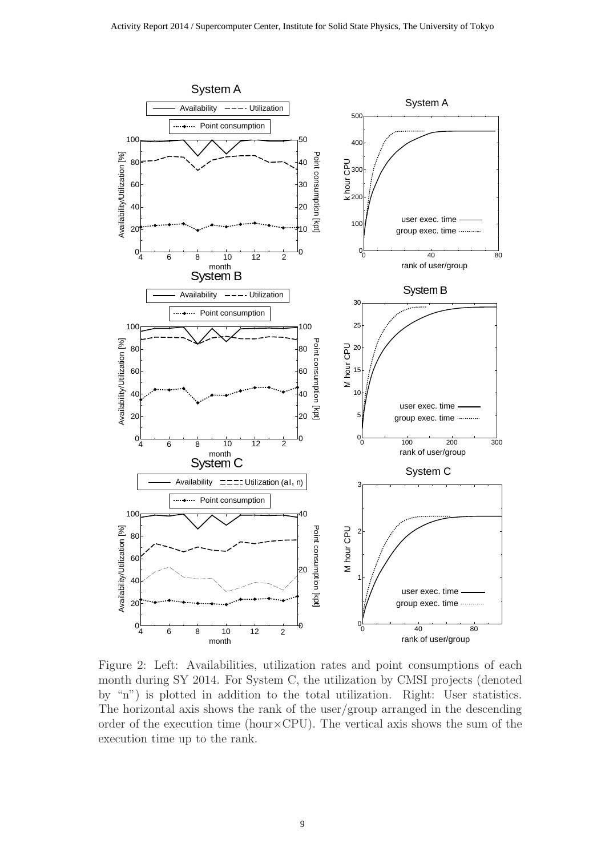

Figure 2: Left: Availabilities, utilization rates and point consumptions of each month during SY 2014. For System C, the utilization by CMSI projects (denoted by "n") is plotted in addition to the total utilization. Right: User statistics. The horizontal axis shows the rank of the user/group arranged in the descending order of the execution time (hour $\times$ CPU). The vertical axis shows the sum of the execution time up to the rank.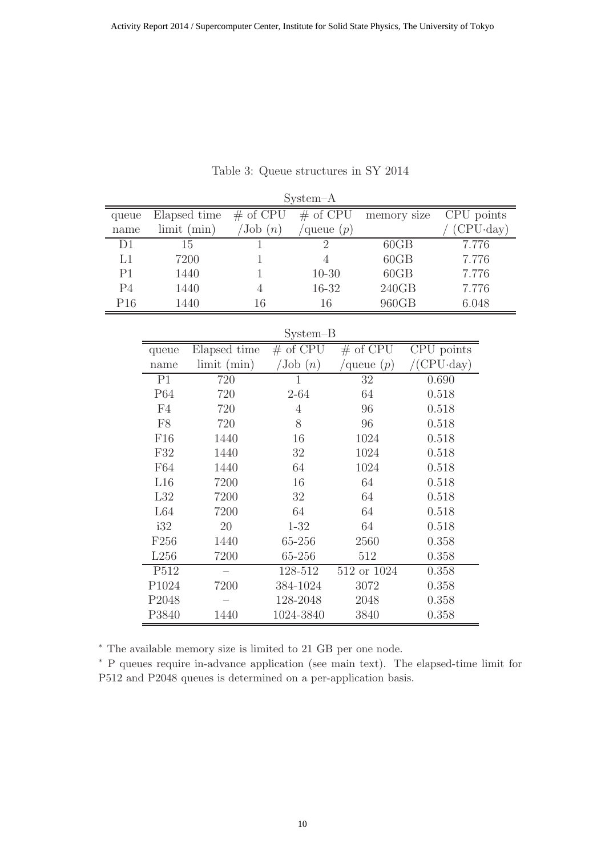| $System-A$     |                  |              |                        |    |                                |    |             |  |                                |          |
|----------------|------------------|--------------|------------------------|----|--------------------------------|----|-------------|--|--------------------------------|----------|
| queue          |                  | Elapsed time | $#$ of CPU             |    | $#$ of CPU                     |    | memory size |  | CPU points                     |          |
| name           |                  | limit (min)  | $\sqrt{J_{\rm ob}(n)}$ |    | queue $(p)$                    |    |             |  |                                | CPU·day) |
| D1             |                  | 15           | 1                      |    | $\overline{2}$                 |    | 60GB        |  | 7.776                          |          |
| L1             |                  | 7200         | 1                      |    | $\overline{4}$                 |    | 60GB        |  | 7.776                          |          |
| P1             |                  | 1440         | 1                      |    | $10 - 30$                      |    | 60GB        |  | 7.776                          |          |
| P <sub>4</sub> |                  | 1440         | $\overline{4}$         |    | 16-32                          |    | 240GB       |  | 7.776                          |          |
| P16            |                  | 1440         | 16                     |    | 16                             |    | 960GB       |  | 6.048                          |          |
|                |                  |              |                        |    | System-B                       |    |             |  |                                |          |
|                | queue            | Elapsed time |                        |    | $#$ of $\overline{\text{CPU}}$ |    | $#$ of CPU  |  | $\overline{\text{CPU}}$ points |          |
|                | name             | limit (min)  |                        |    | $\mathrm{Job}\ (n)$            |    | queue $(p)$ |  | $CPU \cdot day)$               |          |
|                | P <sub>1</sub>   | 720          |                        |    | $\overline{1}$                 |    | 32          |  | 0.690                          |          |
|                | P64              | 720          |                        |    | $2 - 64$                       | 64 |             |  | 0.518                          |          |
|                | F4               | 720          |                        |    | $\overline{4}$                 |    | 96          |  | 0.518                          |          |
|                | F <sub>8</sub>   | 720          |                        |    | 8                              | 96 |             |  | 0.518                          |          |
|                | F16              | 1440         |                        | 16 |                                |    | 1024        |  | 0.518                          |          |
|                | F32              | 1440         |                        | 32 |                                |    | 1024        |  | 0.518                          |          |
|                | F64              | 1440         |                        |    | 64                             |    | 1024        |  | 0.518                          |          |
|                | L16              | 7200         |                        |    | 16                             |    | 64          |  | 0.518                          |          |
|                | L32              | 7200         |                        |    | 32                             |    | 64          |  | 0.518                          |          |
|                | L64<br>7200      |              |                        |    | 64                             |    | 64          |  | 0.518                          |          |
|                | i32              | 20           |                        |    | $1 - 32$                       |    | 64          |  | 0.518                          |          |
|                | F <sub>256</sub> | 1440         |                        |    | 65-256                         |    | 2560        |  | 0.358                          |          |
|                |                  | L256<br>7200 |                        |    | 65-256                         |    | 512         |  | 0.358                          |          |
|                | P512             | $\equiv$     |                        |    | 128-512                        |    | 512 or 1024 |  | 0.358                          |          |
|                | P1024            | 7200         |                        |    | 384-1024                       |    | 3072        |  | 0.358                          |          |
|                | P2048            |              |                        |    | 128-2048                       |    | 2048        |  | 0.358                          |          |
|                | P3840            | 1440         |                        |    | 1024-3840                      |    | 3840        |  | 0.358                          |          |

Table 3: Queue structures in SY 2014

<sup>∗</sup> The available memory size is limited to 21 GB per one node.

<sup>∗</sup> P queues require in-advance application (see main text). The elapsed-time limit for P512 and P2048 queues is determined on a per-application basis.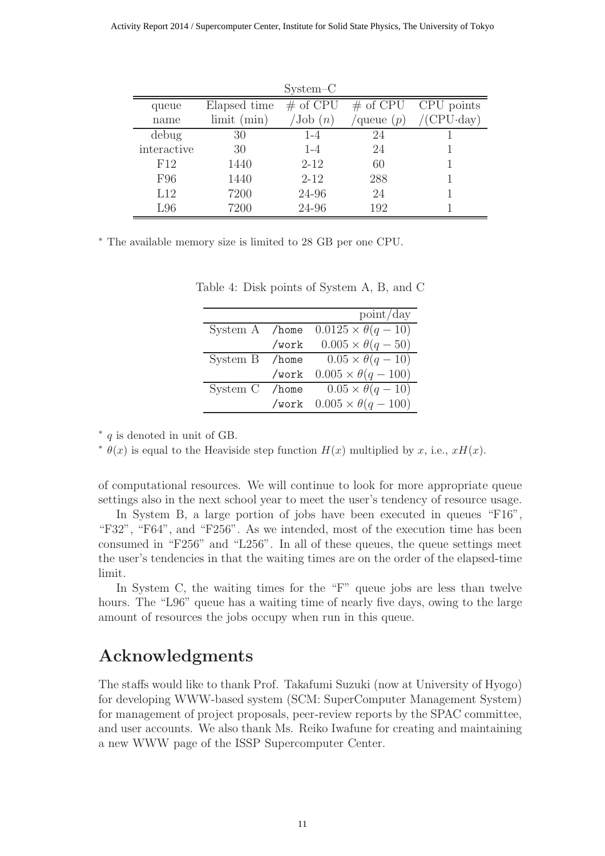|             |                    | $System-C$          |             |                       |
|-------------|--------------------|---------------------|-------------|-----------------------|
| queue       | Elapsed time       | $#$ of CPU          | $\#$ of CPU | CPU points            |
| name        | $\lim$ it $(\min)$ | $\mathrm{Job}\ (n)$ | queue $(p)$ | $/$ (CPU $\cdot$ day) |
| debug       | 30                 | $1 - 4$             | 24          |                       |
| interactive | 30                 | $1 - 4$             | 24          |                       |
| F12         | 1440               | $2 - 12$            | 60          |                       |
| F96         | 1440               | $2 - 12$            | 288         |                       |
| L12         | 7200               | 24-96               | 24          |                       |
| L96         | 7200               | 24-96               | 192         |                       |

<sup>∗</sup> The available memory size is limited to 28 GB per one CPU.

|                |          | point/day                      |
|----------------|----------|--------------------------------|
| System A /home |          | $0.0125 \times \theta(q - 10)$ |
|                | /work    | $0.005 \times \theta(q-50)$    |
| System B       | $/$ home | $0.05 \times \theta(q-10)$     |
|                | /work    | $0.005 \times \theta(q - 100)$ |
| System C       | $/$ home | $0.05 \times \theta(q-10)$     |
|                | /work    | $0.005 \times \theta(q - 100)$ |

Table 4: Disk points of System A, B, and C

∗ q is denoted in unit of GB.

<sup>∗</sup>  $\theta(x)$  is equal to the Heaviside step function  $H(x)$  multiplied by x, i.e.,  $xH(x)$ .

of computational resources. We will continue to look for more appropriate queue settings also in the next school year to meet the user's tendency of resource usage.

In System B, a large portion of jobs have been executed in queues "F16", "F32", "F64", and "F256". As we intended, most of the execution time has been consumed in "F256" and "L256". In all of these queues, the queue settings meet the user's tendencies in that the waiting times are on the order of the elapsed-time limit.

In System C, the waiting times for the "F" queue jobs are less than twelve hours. The "L96" queue has a waiting time of nearly five days, owing to the large amount of resources the jobs occupy when run in this queue.

# Acknowledgments

The staffs would like to thank Prof. Takafumi Suzuki (now at University of Hyogo) for developing WWW-based system (SCM: SuperComputer Management System) for management of project proposals, peer-review reports by the SPAC committee, and user accounts. We also thank Ms. Reiko Iwafune for creating and maintaining a new WWW page of the ISSP Supercomputer Center.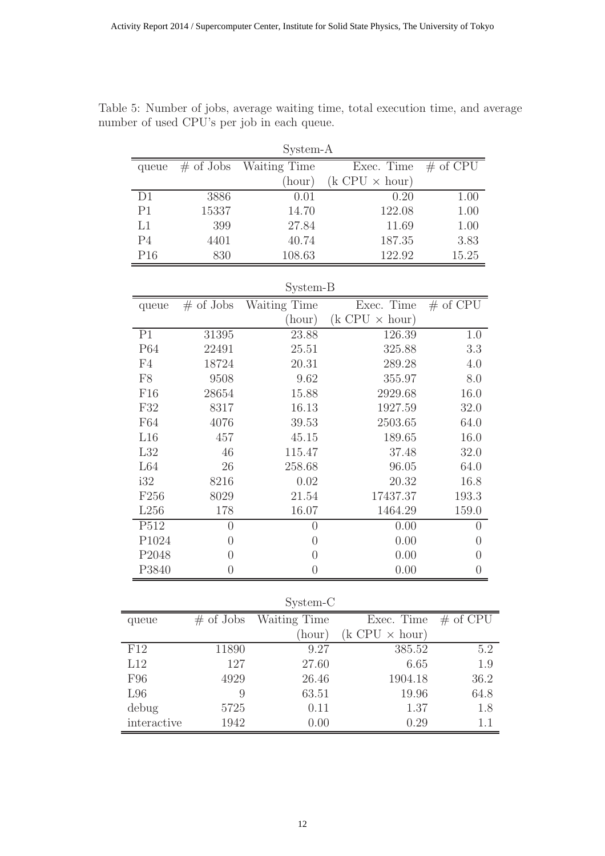| System-A         |                |                     |                         |                                |  |  |  |
|------------------|----------------|---------------------|-------------------------|--------------------------------|--|--|--|
| queue            | $\#$ of Jobs   | <b>Waiting Time</b> | Exec. Time              | $\overline{\# \text{ of CPU}}$ |  |  |  |
|                  |                | (hour)              | $(k$ CPU $\times$ hour) |                                |  |  |  |
| D1               | 3886           | 0.01                | 0.20                    | 1.00                           |  |  |  |
| P <sub>1</sub>   | 15337          | 14.70               | 122.08                  | 1.00                           |  |  |  |
| L1               | 399            | 27.84               | 11.69                   | 1.00                           |  |  |  |
| P <sub>4</sub>   | 4401           | 40.74               | 187.35                  | 3.83                           |  |  |  |
| P16              | 830            | 108.63              | 122.92                  | 15.25                          |  |  |  |
| System-B         |                |                     |                         |                                |  |  |  |
| queue            | $#$ of Jobs    | Waiting Time        | Exec. Time              | $#$ of CPU                     |  |  |  |
|                  |                | (hour)              | $(k$ CPU $\times$ hour) |                                |  |  |  |
| $\overline{P1}$  | 31395          | 23.88               | 126.39                  | 1.0                            |  |  |  |
| P64              | 22491          | 25.51               | 325.88                  | 3.3                            |  |  |  |
| F4               | 18724          | 20.31               | 289.28                  | 4.0                            |  |  |  |
| ${\rm F}8$       | 9508           | 9.62                | 355.97                  | 8.0                            |  |  |  |
| F16              | 28654          | 15.88               | 2929.68                 | 16.0                           |  |  |  |
| F32              | 8317           | 16.13               | 1927.59                 | 32.0                           |  |  |  |
| F64              | 4076           | 39.53               | 2503.65                 | 64.0                           |  |  |  |
| L16              | 457            | 45.15               | 189.65                  | 16.0                           |  |  |  |
| L32              | 46             | 115.47              | 37.48                   | 32.0                           |  |  |  |
| L64              | 26             | 258.68              | 96.05                   | 64.0                           |  |  |  |
| i32              | 8216           | 0.02                | 20.32                   | 16.8                           |  |  |  |
| F <sub>256</sub> | 8029           | 21.54               | 17437.37                | 193.3                          |  |  |  |
| L256             | 178            | 16.07               | 1464.29                 | 159.0                          |  |  |  |
| P512             | $\overline{0}$ | $\overline{0}$      | 0.00                    | $\overline{0}$                 |  |  |  |
| P1024            | $\overline{0}$ | $\overline{0}$      | 0.00                    | $\overline{0}$                 |  |  |  |
| P2048            | $\overline{0}$ | $\overline{0}$      | 0.00                    | $\overline{0}$                 |  |  |  |
| P3840            | $\overline{0}$ | $\theta$            | 0.00                    | $\theta$                       |  |  |  |

Table 5: Number of jobs, average waiting time, total execution time, and average number of used CPU's per job in each queue.

| System-C    |              |              |                         |            |  |  |  |
|-------------|--------------|--------------|-------------------------|------------|--|--|--|
| queue       | $\#$ of Jobs | Waiting Time | Exec. Time              | $#$ of CPU |  |  |  |
|             |              | (hour)       | $(k$ CPU $\times$ hour) |            |  |  |  |
| F12         | 11890        | 9.27         | 385.52                  | 5.2        |  |  |  |
| L12         | 127          | 27.60        | 6.65                    | 1.9        |  |  |  |
| F96         | 4929         | 26.46        | 1904.18                 | 36.2       |  |  |  |
| L96         | 9            | 63.51        | 19.96                   | 64.8       |  |  |  |
| debug       | 5725         | 0.11         | 1.37                    | 1.8        |  |  |  |
| interactive | 1942         | 0.00         | 0.29                    | 1.1        |  |  |  |